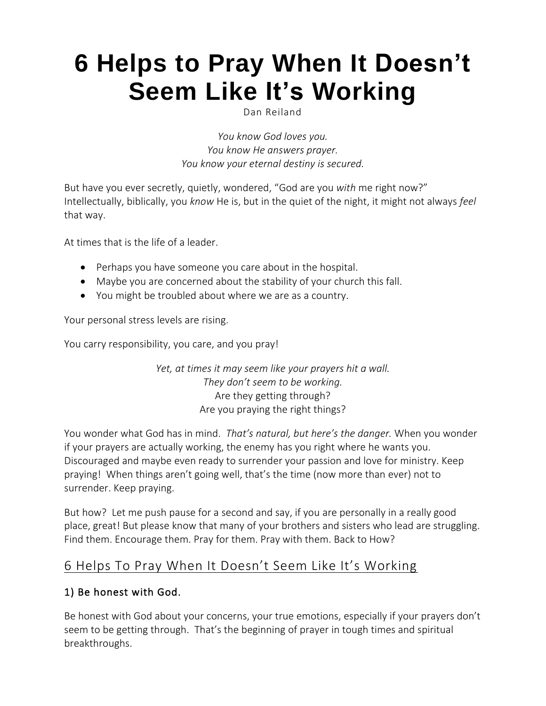# **6 Helps to Pray When It [Doesn't](https://danreiland.com/6-helps-to-pray-when-it-doesnt-seem-like-its-working/) Seem Like It's [Working](https://danreiland.com/6-helps-to-pray-when-it-doesnt-seem-like-its-working/)**

Dan Reiland

*You know God loves you. You know He answers prayer. You know your eternal destiny is secured.*

But have you ever secretly, quietly, wondered, "God are you *with* me right now?" Intellectually, biblically, you *know* He is, but in the quiet of the night, it might not always *feel* that way.

At times that is the life of a leader.

- Perhaps you have someone you care about in the hospital.
- Maybe you are concerned about the stability of your church this fall.
- You might be troubled about where we are as a country.

Your personal stress levels are rising.

You carry responsibility, you care, and you pray!

*Yet, at times it may seem like your prayers hit a wall. They don't seem to be working.* Are they getting through? Are you praying the right things?

You wonder what God has in mind. *That's natural, but here's the danger.* When you wonder if your prayers are actually working, the enemy has you right where he wants you. Discouraged and maybe even ready to surrender your passion and love for ministry. Keep praying! When things aren't going well, that's the time (now more than ever) not to surrender. Keep praying.

But how? Let me push pause for a second and say, if you are personally in a really good place, great! But please know that many of your brothers and sisters who lead are struggling. Find them. Encourage them. Pray for them. Pray with them. Back to How?

## 6 Helps To Pray When It Doesn't Seem Like It's Working

#### 1) Be honest with God.

Be honest with God about your concerns, your true emotions, especially if your prayers don't seem to be getting through. That's the beginning of prayer in tough times and spiritual breakthroughs.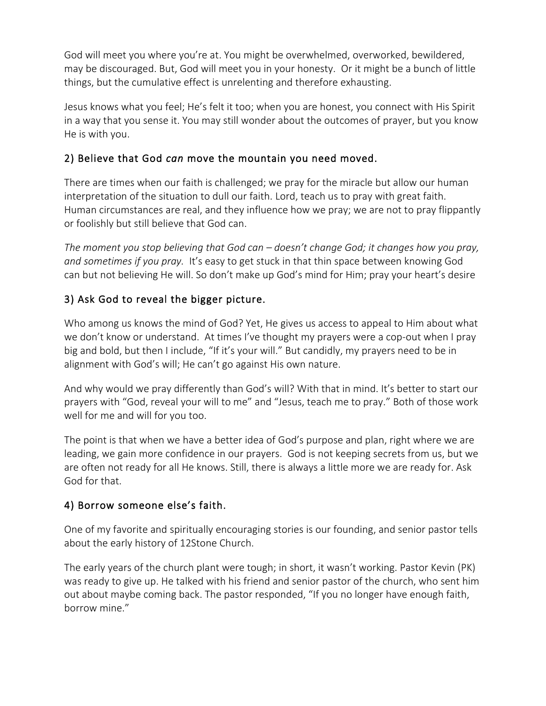God will meet you where you're at. You might be overwhelmed, overworked, bewildered, may be discouraged. But, God will meet you in your honesty. Or it might be a bunch of little things, but the cumulative effect is unrelenting and therefore exhausting.

Jesus knows what you feel; He's felt it too; when you are honest, you connect with His Spirit in a way that you sense it. You may still wonder about the outcomes of prayer, but you know He is with you.

#### 2) Believe that God *can* move the mountain you need moved.

There are times when our faith is challenged; we pray for the miracle but allow our human interpretation of the situation to dull our faith. Lord, teach us to pray with great faith. Human circumstances are real, and they influence how we pray; we are not to pray flippantly or foolishly but still believe that God can.

*The moment you stop believing that God can – doesn't change God; it changes how you pray, and sometimes if you pray.* It's easy to get stuck in that thin space between knowing God can but not believing He will. So don't make up God's mind for Him; pray your heart's desire

## 3) Ask God to reveal the bigger picture.

Who among us knows the mind of God? Yet, He gives us access to appeal to Him about what we don't know or understand. At times I've thought my prayers were a cop-out when I pray big and bold, but then I include, "If it's your will." But candidly, my prayers need to be in alignment with God's will; He can't go against His own nature.

And why would we pray differently than God's will? With that in mind. It's better to start our prayers with "God, reveal your will to me" and "Jesus, teach me to pray." Both of those work well for me and will for you too.

The point is that when we have a better idea of God's purpose and plan, right where we are leading, we gain more confidence in our prayers. God is not keeping secrets from us, but we are often not ready for all He knows. Still, there is always a little more we are ready for. Ask God for that.

#### 4) Borrow someone else's faith.

One of my favorite and spiritually encouraging stories is our founding, and senior pastor tells about the early history of 12Stone Church.

The early years of the church plant were tough; in short, it wasn't working. Pastor Kevin (PK) was ready to give up. He talked with his friend and senior pastor of the church, who sent him out about maybe coming back. The pastor responded, "If you no longer have enough faith, borrow mine."